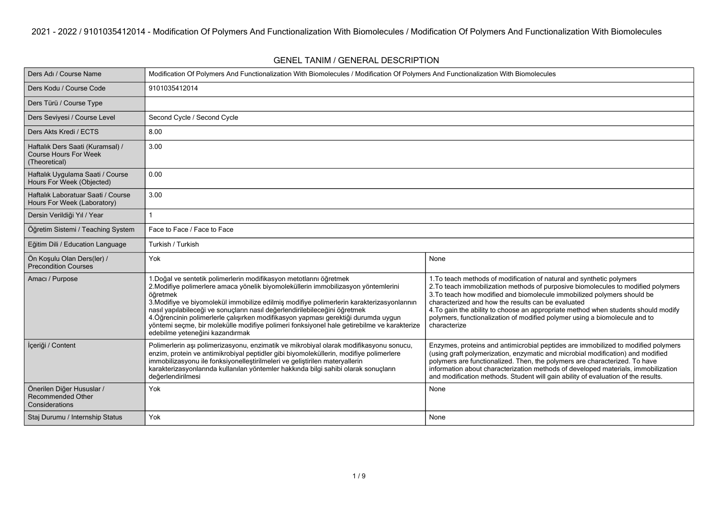**GENEL TANIM / GENERAL DESCRIPTION**

| Ders Adı / Course Name                                                            | Modification Of Polymers And Functionalization With Biomolecules / Modification Of Polymers And Functionalization With Biomolecules                                                                                                                                                                                                                                                                                                                                                                                                                                      |                                                                                                                                                                                                                                                                                                                                                                                                                                                                                 |  |  |  |
|-----------------------------------------------------------------------------------|--------------------------------------------------------------------------------------------------------------------------------------------------------------------------------------------------------------------------------------------------------------------------------------------------------------------------------------------------------------------------------------------------------------------------------------------------------------------------------------------------------------------------------------------------------------------------|---------------------------------------------------------------------------------------------------------------------------------------------------------------------------------------------------------------------------------------------------------------------------------------------------------------------------------------------------------------------------------------------------------------------------------------------------------------------------------|--|--|--|
| Ders Kodu / Course Code                                                           | 9101035412014                                                                                                                                                                                                                                                                                                                                                                                                                                                                                                                                                            |                                                                                                                                                                                                                                                                                                                                                                                                                                                                                 |  |  |  |
| Ders Türü / Course Type                                                           |                                                                                                                                                                                                                                                                                                                                                                                                                                                                                                                                                                          |                                                                                                                                                                                                                                                                                                                                                                                                                                                                                 |  |  |  |
| Ders Seviyesi / Course Level                                                      | Second Cycle / Second Cycle                                                                                                                                                                                                                                                                                                                                                                                                                                                                                                                                              |                                                                                                                                                                                                                                                                                                                                                                                                                                                                                 |  |  |  |
| Ders Akts Kredi / ECTS                                                            | 8.00                                                                                                                                                                                                                                                                                                                                                                                                                                                                                                                                                                     |                                                                                                                                                                                                                                                                                                                                                                                                                                                                                 |  |  |  |
| Haftalık Ders Saati (Kuramsal) /<br><b>Course Hours For Week</b><br>(Theoretical) | 3.00                                                                                                                                                                                                                                                                                                                                                                                                                                                                                                                                                                     |                                                                                                                                                                                                                                                                                                                                                                                                                                                                                 |  |  |  |
| Haftalık Uygulama Saati / Course<br>Hours For Week (Objected)                     | 0.00                                                                                                                                                                                                                                                                                                                                                                                                                                                                                                                                                                     |                                                                                                                                                                                                                                                                                                                                                                                                                                                                                 |  |  |  |
| Haftalık Laboratuar Saati / Course<br>Hours For Week (Laboratory)                 | 3.00                                                                                                                                                                                                                                                                                                                                                                                                                                                                                                                                                                     |                                                                                                                                                                                                                                                                                                                                                                                                                                                                                 |  |  |  |
| Dersin Verildiği Yıl / Year                                                       | 1                                                                                                                                                                                                                                                                                                                                                                                                                                                                                                                                                                        |                                                                                                                                                                                                                                                                                                                                                                                                                                                                                 |  |  |  |
| Öğretim Sistemi / Teaching System                                                 | Face to Face / Face to Face                                                                                                                                                                                                                                                                                                                                                                                                                                                                                                                                              |                                                                                                                                                                                                                                                                                                                                                                                                                                                                                 |  |  |  |
| Eğitim Dili / Education Language                                                  | Turkish / Turkish                                                                                                                                                                                                                                                                                                                                                                                                                                                                                                                                                        |                                                                                                                                                                                                                                                                                                                                                                                                                                                                                 |  |  |  |
| Ön Koşulu Olan Ders(ler) /<br><b>Precondition Courses</b>                         | Yok                                                                                                                                                                                                                                                                                                                                                                                                                                                                                                                                                                      | None                                                                                                                                                                                                                                                                                                                                                                                                                                                                            |  |  |  |
| Amacı / Purpose                                                                   | 1. Doğal ve sentetik polimerlerin modifikasyon metotlarını öğretmek<br>2. Modifiye polimerlere amaca yönelik biyomoleküllerin immobilizasyon yöntemlerini<br>öăretmek<br>3. Modifiye ve biyomolekül immobilize edilmiş modifiye polimerlerin karakterizasyonlarının<br>nasıl yapılabileceği ve sonuçların nasıl değerlendirilebileceğini öğretmek<br>4. Öğrencinin polimerlerle çalışırken modifikasyon yapması gerektiği durumda uygun<br>yöntemi seçme, bir molekülle modifiye polimeri fonksiyonel hale getirebilme ve karakterize<br>edebilme yeteneğini kazandırmak | 1. To teach methods of modification of natural and synthetic polymers<br>2. To teach immobilization methods of purposive biomolecules to modified polymers<br>3. To teach how modified and biomolecule immobilized polymers should be<br>characterized and how the results can be evaluated<br>4. To gain the ability to choose an appropriate method when students should modify<br>polymers, functionalization of modified polymer using a biomolecule and to<br>characterize |  |  |  |
| İçeriği / Content                                                                 | Polimerlerin aşı polimerizasyonu, enzimatik ve mikrobiyal olarak modifikasyonu sonucu,<br>enzim, protein ve antimikrobiyal peptidler gibi biyomoleküllerin, modifiye polimerlere<br>immobilizasyonu ile fonksiyonelleştirilmeleri ve geliştirilen materyallerin<br>karakterizasyonlarında kullanılan yöntemler hakkında bilgi sahibi olarak sonuçların<br>değerlendirilmesi                                                                                                                                                                                              | Enzymes, proteins and antimicrobial peptides are immobilized to modified polymers<br>(using graft polymerization, enzymatic and microbial modification) and modified<br>polymers are functionalized. Then, the polymers are characterized. To have<br>information about characterization methods of developed materials, immobilization<br>and modification methods. Student will gain ability of evaluation of the results.                                                    |  |  |  |
| Önerilen Diğer Hususlar /<br><b>Recommended Other</b><br>Considerations           | Yok                                                                                                                                                                                                                                                                                                                                                                                                                                                                                                                                                                      | None                                                                                                                                                                                                                                                                                                                                                                                                                                                                            |  |  |  |
| Staj Durumu / Internship Status                                                   | Yok                                                                                                                                                                                                                                                                                                                                                                                                                                                                                                                                                                      | None                                                                                                                                                                                                                                                                                                                                                                                                                                                                            |  |  |  |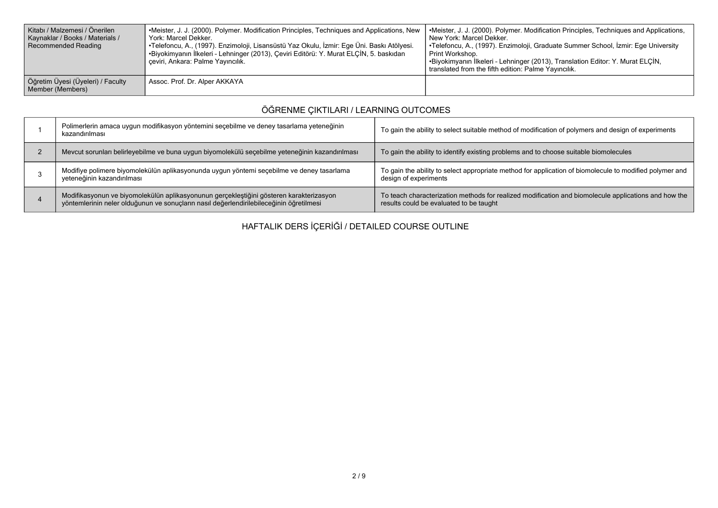| Kitabı / Malzemesi / Önerilen<br>Kaynaklar / Books / Materials /<br>Recommended Reading | •Meister, J. J. (2000). Polymer. Modification Principles, Techniques and Applications, New<br>York: Marcel Dekker.<br>•Telefoncu, A., (1997). Enzimoloji, Lisansüstü Yaz Okulu, İzmir: Ege Üni. Baskı Atölyesi.<br>•Biyokimyanın İlkeleri - Lehninger (2013), Çeviri Editörü: Y. Murat ELÇİN, 5. baskıdan<br>ceviri, Ankara: Palme Yayıncılık. | •Meister, J. J. (2000). Polymer. Modification Principles, Techniques and Applications,<br>l New York: Marcel Dekker.<br>  •Telefoncu, A., (1997). Enzimoloji, Graduate Summer School, İzmir: Ege University<br>l Print Workshop.<br>•Biyokimyanın İlkeleri - Lehninger (2013), Translation Editor: Y. Murat ELÇİN,<br>translated from the fifth edition: Palme Yayıncılık. |
|-----------------------------------------------------------------------------------------|------------------------------------------------------------------------------------------------------------------------------------------------------------------------------------------------------------------------------------------------------------------------------------------------------------------------------------------------|----------------------------------------------------------------------------------------------------------------------------------------------------------------------------------------------------------------------------------------------------------------------------------------------------------------------------------------------------------------------------|
| Öğretim Üyesi (Üyeleri) / Faculty<br>Member (Members)                                   | Assoc. Prof. Dr. Alper AKKAYA                                                                                                                                                                                                                                                                                                                  |                                                                                                                                                                                                                                                                                                                                                                            |

## **ÖĞRENME ÇIKTILARI / LEARNING OUTCOMES**

| Polimerlerin amaca uygun modifikasyon yöntemini seçebilme ve deney tasarlama yeteneğinin<br>kazandırılması                                                                         | To gain the ability to select suitable method of modification of polymers and design of experiments                                             |
|------------------------------------------------------------------------------------------------------------------------------------------------------------------------------------|-------------------------------------------------------------------------------------------------------------------------------------------------|
| Mevcut sorunları belirleyebilme ve buna uygun biyomolekülü seçebilme yeteneğinin kazandırılması                                                                                    | To gain the ability to identify existing problems and to choose suitable biomolecules                                                           |
| Modifiye polimere biyomolekülün aplikasyonunda uygun yöntemi seçebilme ve deney tasarlama<br>veteneğinin kazandırılması                                                            | To gain the ability to select appropriate method for application of biomolecule to modified polymer and<br>design of experiments                |
| Modifikasyonun ve biyomolekülün aplikasyonunun gerçekleştiğini gösteren karakterizasyon<br>yöntemlerinin neler olduğunun ve sonuçların nasıl değerlendirilebileceğinin öğretilmesi | To teach characterization methods for realized modification and biomolecule applications and how the<br>results could be evaluated to be taught |

**HAFTALIK DERS İÇERİĞİ / DETAILED COURSE OUTLINE**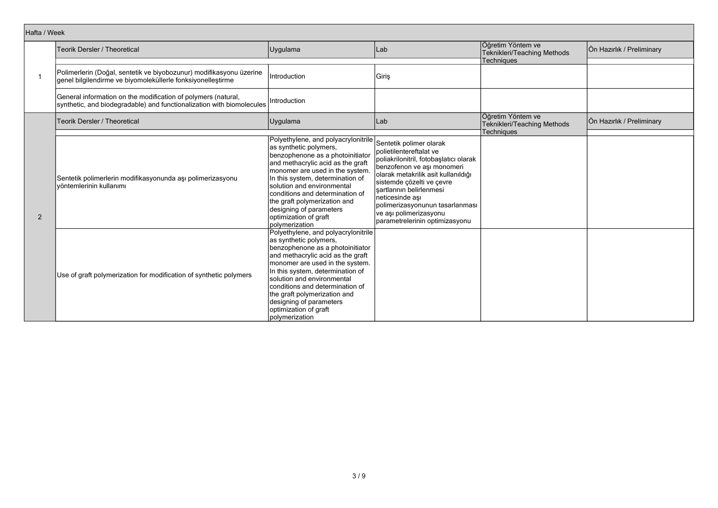| Hafta / Week |                                                                                                                                        |                                                                                                                                                                                                                                                                                                                                                                                       |                                                                                                                                                                                                                                                                                                                                              |                                                                       |                           |
|--------------|----------------------------------------------------------------------------------------------------------------------------------------|---------------------------------------------------------------------------------------------------------------------------------------------------------------------------------------------------------------------------------------------------------------------------------------------------------------------------------------------------------------------------------------|----------------------------------------------------------------------------------------------------------------------------------------------------------------------------------------------------------------------------------------------------------------------------------------------------------------------------------------------|-----------------------------------------------------------------------|---------------------------|
|              | Teorik Dersler / Theoretical                                                                                                           | Uygulama                                                                                                                                                                                                                                                                                                                                                                              | Lab                                                                                                                                                                                                                                                                                                                                          | Öğretim Yöntem ve<br>Teknikleri/Teaching Methods<br>Techniques        | Ön Hazırlık / Preliminary |
|              | Polimerlerin (Doğal, sentetik ve biyobozunur) modifikasyonu üzerine<br>genel bilgilendirme ve biyomoleküllerle fonksiyonelleştirme     | Introduction                                                                                                                                                                                                                                                                                                                                                                          | Giriş                                                                                                                                                                                                                                                                                                                                        |                                                                       |                           |
|              | General information on the modification of polymers (natural,<br>synthetic, and biodegradable) and functionalization with biomolecules | Introduction                                                                                                                                                                                                                                                                                                                                                                          |                                                                                                                                                                                                                                                                                                                                              |                                                                       |                           |
|              | <b>Teorik Dersler / Theoretical</b>                                                                                                    | Uygulama                                                                                                                                                                                                                                                                                                                                                                              | Lab                                                                                                                                                                                                                                                                                                                                          | Öğretim Yöntem ve<br><b>Teknikleri/Teaching Methods</b><br>Techniques | Ön Hazırlık / Preliminary |
| 2            | Sentetik polimerlerin modifikasyonunda aşı polimerizasyonu<br>İvöntemlerinin kullanımı                                                 | Polyethylene, and polyacrylonitrile<br>as synthetic polymers,<br>benzophenone as a photoinitiator<br>and methacrylic acid as the graft<br>monomer are used in the system.<br>In this system, determination of<br>solution and environmental<br>conditions and determination of<br>the graft polymerization and<br>designing of parameters<br>optimization of graft<br>Ipolvmerization | Sentetik polimer olarak<br>polietilentereftalat ve<br>poliakrilonitril, fotobaşlatıcı olarak<br>benzofenon ve aşı monomeri<br>olarak metakrilik asit kullanıldığı<br>sistemde çözelti ve çevre<br>sartlarının belirlenmesi<br>neticesinde ası<br>polimerizasyonunun tasarlanması<br>ve ası polimerizasyonu<br>parametrelerinin optimizasyonu |                                                                       |                           |
|              | Use of graft polymerization for modification of synthetic polymers                                                                     | Polyethylene, and polyacrylonitrile<br>as synthetic polymers,<br>benzophenone as a photoinitiator<br>and methacrylic acid as the graft<br>monomer are used in the system.<br>In this system, determination of<br>solution and environmental<br>conditions and determination of<br>the graft polymerization and<br>designing of parameters<br>optimization of graft<br>polymerization  |                                                                                                                                                                                                                                                                                                                                              |                                                                       |                           |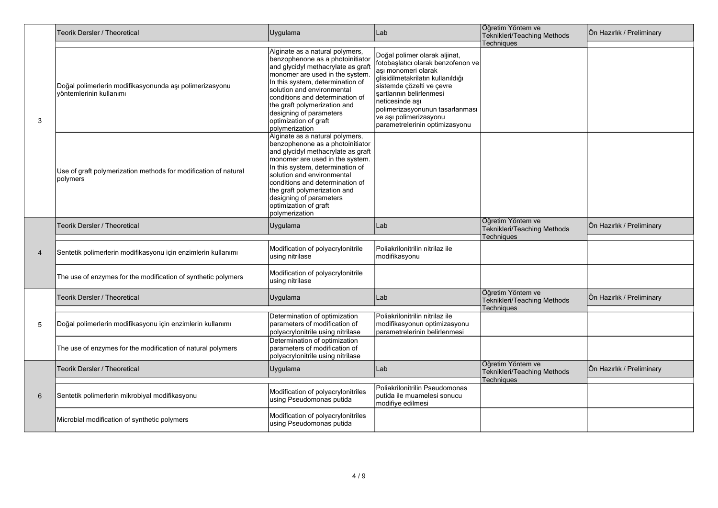|                | Teorik Dersler / Theoretical                                                       | Uygulama                                                                                                                                                                                                                                                                                                                                                | Lab                                                                                                                                                                                                                                                                                                        | Öğretim Yöntem ve<br>Teknikleri/Teaching Methods                      | Ön Hazırlık / Preliminary |
|----------------|------------------------------------------------------------------------------------|---------------------------------------------------------------------------------------------------------------------------------------------------------------------------------------------------------------------------------------------------------------------------------------------------------------------------------------------------------|------------------------------------------------------------------------------------------------------------------------------------------------------------------------------------------------------------------------------------------------------------------------------------------------------------|-----------------------------------------------------------------------|---------------------------|
| 3              | Doğal polimerlerin modifikasyonunda aşı polimerizasyonu<br>vöntemlerinin kullanımı | Alginate as a natural polymers,<br>benzophenone as a photoinitiator<br>and glycidyl methacrylate as graft<br>monomer are used in the system.<br>In this system, determination of<br>solution and environmental<br>conditions and determination of<br>the graft polymerization and<br>designing of parameters<br>optimization of graft<br>polymerization | Doğal polimer olarak aljinat,<br>fotobaşlatıcı olarak benzofenon ve<br>aşı monomeri olarak<br>glisidilmetakrilatın kullanıldığı<br>sistemde çözelti ve çevre<br>şartlarının belirlenmesi<br>neticesinde ası<br>polimerizasyonunun tasarlanması<br>ve aşı polimerizasyonu<br>parametrelerinin optimizasyonu | Techniques                                                            |                           |
|                | Use of graft polymerization methods for modification of natural<br>polymers        | Alginate as a natural polymers,<br>benzophenone as a photoinitiator<br>and glycidyl methacrylate as graft<br>monomer are used in the system.<br>In this system, determination of<br>solution and environmental<br>conditions and determination of<br>the graft polymerization and<br>designing of parameters<br>optimization of graft<br>polymerization |                                                                                                                                                                                                                                                                                                            |                                                                       |                           |
|                | Teorik Dersler / Theoretical                                                       | Uygulama                                                                                                                                                                                                                                                                                                                                                | Lab                                                                                                                                                                                                                                                                                                        | Öğretim Yöntem ve<br>Teknikleri/Teaching Methods<br><b>Techniques</b> | Ön Hazırlık / Preliminary |
| $\overline{4}$ | Sentetik polimerlerin modifikasyonu için enzimlerin kullanımı                      | Modification of polyacrylonitrile<br>using nitrilase                                                                                                                                                                                                                                                                                                    | Poliakrilonitrilin nitrilaz ile<br>modifikasyonu                                                                                                                                                                                                                                                           |                                                                       |                           |
|                | The use of enzymes for the modification of synthetic polymers                      | Modification of polyacrylonitrile<br>using nitrilase                                                                                                                                                                                                                                                                                                    |                                                                                                                                                                                                                                                                                                            |                                                                       |                           |
|                | <b>Feorik Dersler / Theoretical</b>                                                | Uygulama                                                                                                                                                                                                                                                                                                                                                | Lab                                                                                                                                                                                                                                                                                                        | Öğretim Yöntem ve<br>Teknikleri/Teaching Methods<br>Techniques        | Ön Hazırlık / Preliminary |
| 5              | Doğal polimerlerin modifikasyonu için enzimlerin kullanımı                         | Determination of optimization<br>parameters of modification of<br>polyacrylonitrile using nitrilase                                                                                                                                                                                                                                                     | Poliakrilonitrilin nitrilaz ile<br>modifikasyonun optimizasyonu<br>parametrelerinin belirlenmesi                                                                                                                                                                                                           |                                                                       |                           |
|                | The use of enzymes for the modification of natural polymers                        | Determination of optimization<br>parameters of modification of<br>polyacrylonitrile using nitrilase                                                                                                                                                                                                                                                     |                                                                                                                                                                                                                                                                                                            |                                                                       |                           |
| 6              | Teorik Dersler / Theoretical                                                       | Uygulama                                                                                                                                                                                                                                                                                                                                                | Lab                                                                                                                                                                                                                                                                                                        | Öğretim Yöntem ve<br>Teknikleri/Teaching Methods<br>Techniques        | Ön Hazırlık / Preliminary |
|                | Sentetik polimerlerin mikrobiyal modifikasyonu                                     | Modification of polyacrylonitriles<br>using Pseudomonas putida                                                                                                                                                                                                                                                                                          | Poliakrilonitrilin Pseudomonas<br>putida ile muamelesi sonucu<br>modifiye edilmesi                                                                                                                                                                                                                         |                                                                       |                           |
|                | Microbial modification of synthetic polymers                                       | Modification of polyacrylonitriles<br>using Pseudomonas putida                                                                                                                                                                                                                                                                                          |                                                                                                                                                                                                                                                                                                            |                                                                       |                           |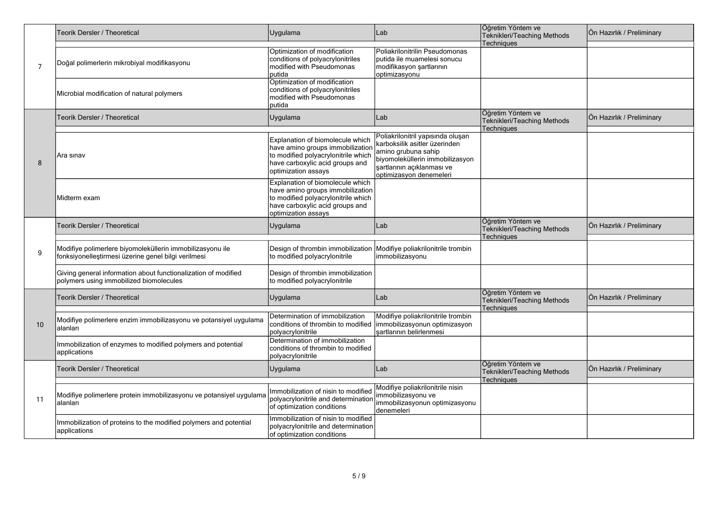| $\overline{7}$ | Teorik Dersler / Theoretical                                                                                     | Uygulama                                                                                                                                                              | Lab                                                                                                                                                                                   | Öğretim Yöntem ve<br>Teknikleri/Teaching Methods<br>Techniques        | Ön Hazırlık / Preliminary |
|----------------|------------------------------------------------------------------------------------------------------------------|-----------------------------------------------------------------------------------------------------------------------------------------------------------------------|---------------------------------------------------------------------------------------------------------------------------------------------------------------------------------------|-----------------------------------------------------------------------|---------------------------|
|                | Doğal polimerlerin mikrobiyal modifikasyonu                                                                      | Optimization of modification<br>conditions of polyacrylonitriles<br>modified with Pseudomonas<br>putida                                                               | Poliakrilonitrilin Pseudomonas<br>putida ile muamelesi sonucu<br>modifikasyon şartlarının<br>optimizasyonu                                                                            |                                                                       |                           |
|                | Microbial modification of natural polymers                                                                       | Optimization of modification<br>conditions of polyacrylonitriles<br>modified with Pseudomonas<br>putida                                                               |                                                                                                                                                                                       |                                                                       |                           |
|                | Teorik Dersler / Theoretical                                                                                     | Uygulama                                                                                                                                                              | Lab                                                                                                                                                                                   | Öğretim Yöntem ve<br>Teknikleri/Teaching Methods<br><b>Techniques</b> | Ön Hazırlık / Preliminary |
| 8              | Ara sinav                                                                                                        | Explanation of biomolecule which<br>have amino groups immobilizatior<br>to modified polyacrylonitrile which<br>have carboxylic acid groups and<br>optimization assays | Poliakrilonitril yapısında oluşan<br>karboksilik asitler üzerinden<br>amino grubuna sahip<br>biyomoleküllerin immobilizasyon<br>sartlarının açıklanması ve<br>optimizasyon denemeleri |                                                                       |                           |
|                | Midterm exam                                                                                                     | Explanation of biomolecule which<br>have amino groups immobilization<br>to modified polyacrylonitrile which<br>have carboxylic acid groups and<br>optimization assays |                                                                                                                                                                                       |                                                                       |                           |
|                | Teorik Dersler / Theoretical                                                                                     | Uygulama                                                                                                                                                              | Lab                                                                                                                                                                                   | Öğretim Yöntem ve<br>Teknikleri/Teaching Methods<br><b>Techniques</b> | Ön Hazırlık / Preliminary |
| 9              | Modifiye polimerlere biyomoleküllerin immobilizasyonu ile<br>fonksiyonelleştirmesi üzerine genel bilgi verilmesi | Design of thrombin immobilization<br>to modified polyacrylonitrile                                                                                                    | Modifiye poliakrilonitrile trombin<br>immobilizasyonu                                                                                                                                 |                                                                       |                           |
|                | Giving general information about functionalization of modified<br>polymers using immobilized biomolecules        | Design of thrombin immobilization<br>to modified polyacrylonitrile                                                                                                    |                                                                                                                                                                                       |                                                                       |                           |
|                | Teorik Dersler / Theoretical                                                                                     | Uygulama                                                                                                                                                              | Lab                                                                                                                                                                                   | Öğretim Yöntem ve<br>Teknikleri/Teaching Methods<br>Techniques        | Ön Hazırlık / Preliminary |
| 10             | Modifiye polimerlere enzim immobilizasyonu ve potansiyel uygulama<br>alanları                                    | Determination of immobilization<br>conditions of thrombin to modified<br>polyacrylonitrile                                                                            | Modifiye poliakrilonitrile trombin<br>immobilizasyonun optimizasyon<br>İsartlarının belirlenmesi                                                                                      |                                                                       |                           |
|                | Immobilization of enzymes to modified polymers and potential<br>applications                                     | Determination of immobilization<br>conditions of thrombin to modified<br>polyacrylonitrile                                                                            |                                                                                                                                                                                       |                                                                       |                           |
|                | Teorik Dersler / Theoretical                                                                                     | Uygulama                                                                                                                                                              | Lab                                                                                                                                                                                   | Öğretim Yöntem ve<br>Teknikleri/Teaching Methods<br>Techniques        | Ön Hazırlık / Preliminary |
| 11             | Modifiye polimerlere protein immobilizasyonu ve potansiyel uygulama<br>alanları                                  | Immobilization of nisin to modified<br>polyacrylonitrile and determination<br>of optimization conditions                                                              | Modifiye poliakrilonitrile nisin<br>immobilizasyonu ve<br>immobilizasyonun optimizasyonu<br>denemeleri                                                                                |                                                                       |                           |
|                | Immobilization of proteins to the modified polymers and potential<br>applications                                | Immobilization of nisin to modified<br>polyacrylonitrile and determination<br>of optimization conditions                                                              |                                                                                                                                                                                       |                                                                       |                           |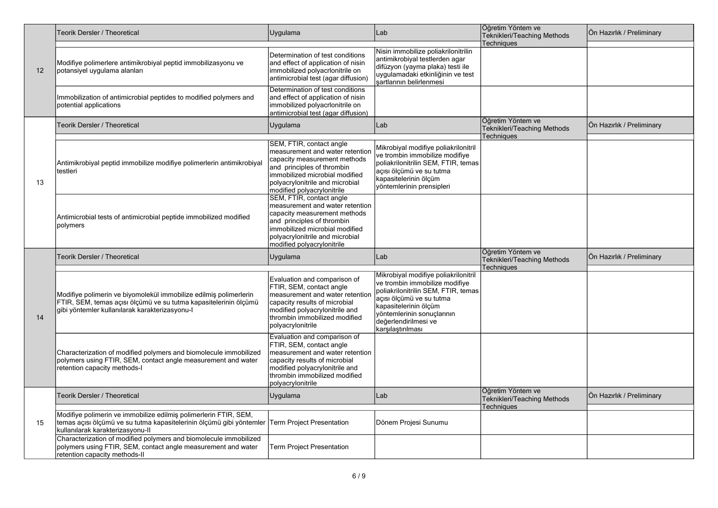| 12 | <b>Teorik Dersler / Theoretical</b>                                                                                                                                                                    | Uygulama                                                                                                                                                                                                                     | Lab                                                                                                                                                                                                                                           | Öğretim Yöntem ve<br>Teknikleri/Teaching Methods<br><b>Techniques</b> | Ön Hazırlık / Preliminary |
|----|--------------------------------------------------------------------------------------------------------------------------------------------------------------------------------------------------------|------------------------------------------------------------------------------------------------------------------------------------------------------------------------------------------------------------------------------|-----------------------------------------------------------------------------------------------------------------------------------------------------------------------------------------------------------------------------------------------|-----------------------------------------------------------------------|---------------------------|
|    | Modifiye polimerlere antimikrobiyal peptid immobilizasyonu ve<br>potansiyel uygulama alanları                                                                                                          | Determination of test conditions<br>and effect of application of nisin<br>immobilized polyacrlonitrile on<br>antimicrobial test (agar diffusion)                                                                             | Nisin immobilize poliakrilonitrilin<br>antimikrobiyal testlerden agar<br>difüzyon (yayma plaka) testi ile<br>uygulamadaki etkinliğinin ve test<br>şartlarının belirlenmesi                                                                    |                                                                       |                           |
|    | Immobilization of antimicrobial peptides to modified polymers and<br>potential applications                                                                                                            | Determination of test conditions<br>and effect of application of nisin<br>immobilized polyacrlonitrile on<br>antimicrobial test (agar diffusion)                                                                             |                                                                                                                                                                                                                                               |                                                                       |                           |
|    | <b>Teorik Dersler / Theoretical</b>                                                                                                                                                                    | Uygulama                                                                                                                                                                                                                     | Lab                                                                                                                                                                                                                                           | Öğretim Yöntem ve<br><b>Teknikleri/Teaching Methods</b>               | Ön Hazırlık / Preliminary |
| 13 | Antimikrobiyal peptid immobilize modifiye polimerlerin antimikrobiyal<br>testleri                                                                                                                      | SEM, FTIR, contact angle<br>measurement and water retention<br>capacity measurement methods<br>and principles of thrombin<br>immobilized microbial modified<br>polyacrylonitrile and microbial<br>modified polyacrylonitrile | Mikrobiyal modifiye poliakrilonitril<br>ve trombin immobilize modifiye<br>poliakrilonitrilin SEM, FTIR, temas<br>açısı ölçümü ve su tutma<br>kapasitelerinin ölçüm<br>vöntemlerinin prensipleri                                               | <b>Techniques</b>                                                     |                           |
|    | Antimicrobial tests of antimicrobial peptide immobilized modified<br>polymers                                                                                                                          | SEM, FTIR, contact angle<br>measurement and water retention<br>capacity measurement methods<br>and principles of thrombin<br>immobilized microbial modified<br>polyacrylonitrile and microbial<br>modified polyacrylonitrile |                                                                                                                                                                                                                                               |                                                                       |                           |
|    | Teorik Dersler / Theoretical                                                                                                                                                                           | Uygulama                                                                                                                                                                                                                     | Lab                                                                                                                                                                                                                                           | Öğretim Yöntem ve<br>Teknikleri/Teaching Methods<br>Techniques        | Ön Hazırlık / Preliminary |
| 14 | Modifiye polimerin ve biyomolekül immobilize edilmiş polimerlerin<br>FTIR, SEM, temas açısı ölçümü ve su tutma kapasitelerinin ölçümü<br>gibi yöntemler kullanılarak karakterizasyonu-l                | Evaluation and comparison of<br>FTIR, SEM, contact angle<br>measurement and water retentior<br>capacity results of microbial<br>modified polyacrylonitrile and<br>thrombin immobilized modified<br>polyacrylonitrile         | Mikrobiyal modifiye poliakrilonitril<br>ve trombin immobilize modifiye<br>poliakrilonitrilin SEM, FTIR, temas<br>açısı ölçümü ve su tutma<br>kapasitelerinin ölçüm<br>yöntemlerinin sonuçlarının<br>değerlendirilmesi ve<br>karşılaştırılması |                                                                       |                           |
|    | Characterization of modified polymers and biomolecule immobilized<br>polymers using FTIR, SEM, contact angle measurement and water<br>retention capacity methods-I                                     | Evaluation and comparison of<br>FTIR, SEM, contact angle<br>measurement and water retention<br>capacity results of microbial<br>modified polyacrylonitrile and<br>thrombin immobilized modified<br>polyacrylonitrile         |                                                                                                                                                                                                                                               |                                                                       |                           |
|    | Teorik Dersler / Theoretical                                                                                                                                                                           | Uygulama                                                                                                                                                                                                                     | Lab                                                                                                                                                                                                                                           | Öğretim Yöntem ve<br>Teknikleri/Teaching Methods<br><b>Techniques</b> | Ön Hazırlık / Preliminary |
| 15 | Modifiye polimerin ve immobilize edilmiş polimerlerin FTIR, SEM,<br>temas açısı ölçümü ve su tutma kapasitelerinin ölçümü gibi yöntemler Term Project Presentation<br>kullanılarak karakterizasyonu-II |                                                                                                                                                                                                                              | Dönem Projesi Sunumu                                                                                                                                                                                                                          |                                                                       |                           |
|    | Characterization of modified polymers and biomolecule immobilized<br>polymers using FTIR, SEM, contact angle measurement and water<br>retention capacity methods-II                                    | <b>Term Project Presentation</b>                                                                                                                                                                                             |                                                                                                                                                                                                                                               |                                                                       |                           |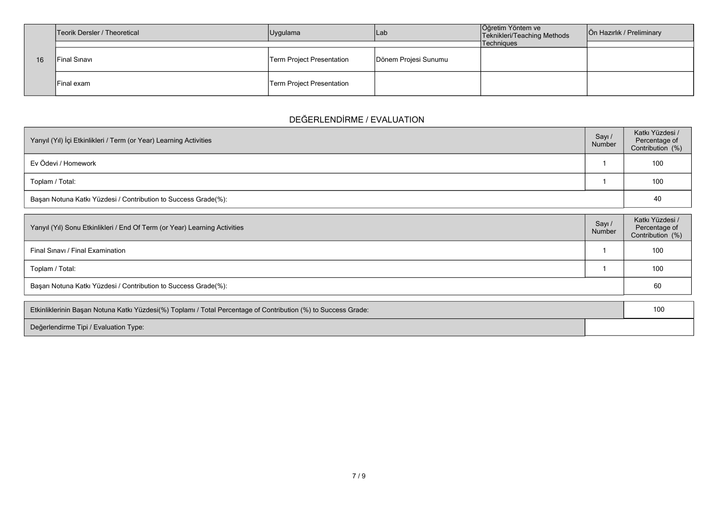|    | Teorik Dersler / Theoretical | Uygulama                  | Lab                  | Öğretim Yöntem ve<br>Teknikleri/Teaching Methods | Ön Hazırlık / Preliminary |
|----|------------------------------|---------------------------|----------------------|--------------------------------------------------|---------------------------|
|    |                              |                           |                      | Techniques                                       |                           |
| 16 | lFinal Sınavı                | Term Project Presentation | Dönem Projesi Sunumu |                                                  |                           |
|    | IFinal exam                  | Term Project Presentation |                      |                                                  |                           |

## **DEĞERLENDİRME / EVALUATION**

| Yarıyıl (Yıl) İçi Etkinlikleri / Term (or Year) Learning Activities | Sayı /<br>Number | Katkı Yüzdesi /<br>Percentage of<br>Contribution (%) |
|---------------------------------------------------------------------|------------------|------------------------------------------------------|
| Ev Ödevi / Homework                                                 |                  | 100                                                  |
| Toplam / Total:                                                     |                  | 100                                                  |
| Başarı Notuna Katkı Yüzdesi / Contribution to Success Grade(%):     |                  | 40                                                   |

| Yarıyıl (Yıl) Sonu Etkinlikleri / End Of Term (or Year) Learning Activities | Sayı/<br>Number | Katkı Yüzdesi /<br>Percentage of<br>Contribution (%) |
|-----------------------------------------------------------------------------|-----------------|------------------------------------------------------|
| Final Sinavi / Final Examination                                            |                 | 100                                                  |
| Toplam / Total:                                                             |                 | 100                                                  |
| Başarı Notuna Katkı Yüzdesi / Contribution to Success Grade(%):             |                 | 60                                                   |

| Etkinliklerinin Başarı Notuna Katkı Yüzdesi(%) Toplamı / Total Percentage of Contribution (%) to Success Grade: |  |  |
|-----------------------------------------------------------------------------------------------------------------|--|--|
| Değerlendirme Tipi / Evaluation Type:                                                                           |  |  |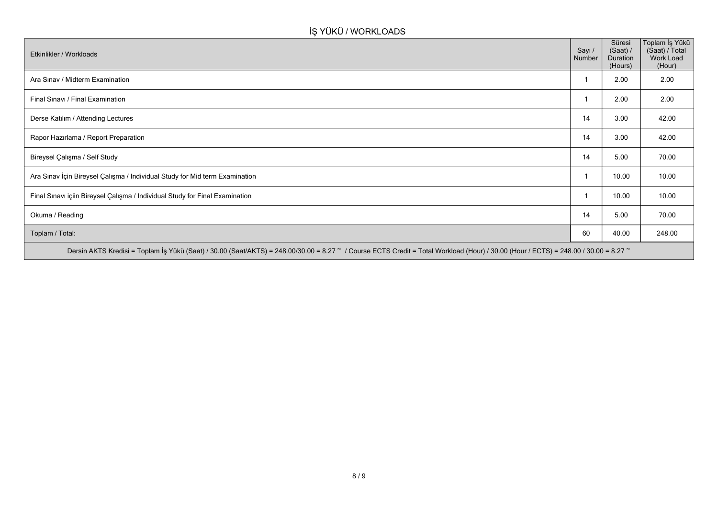## **İŞ YÜKÜ / WORKLOADS**

| Etkinlikler / Workloads                                                                                                                                                              | Sayı /<br>Number | Süresi<br>(Saat) /<br>Duration<br>(Hours) | Toplam İş Yükü<br>(Saat) / Total<br>Work Load<br>(Hour) |
|--------------------------------------------------------------------------------------------------------------------------------------------------------------------------------------|------------------|-------------------------------------------|---------------------------------------------------------|
| Ara Sinav / Midterm Examination                                                                                                                                                      |                  | 2.00                                      | 2.00                                                    |
| Final Sinavi / Final Examination                                                                                                                                                     |                  | 2.00                                      | 2.00                                                    |
| Derse Katılım / Attending Lectures                                                                                                                                                   | 14               | 3.00                                      | 42.00                                                   |
| Rapor Hazırlama / Report Preparation                                                                                                                                                 | 14               | 3.00                                      | 42.00                                                   |
| Bireysel Çalışma / Self Study                                                                                                                                                        | 14               | 5.00                                      | 70.00                                                   |
| Ara Sınav İçin Bireysel Çalışma / Individual Study for Mid term Examination                                                                                                          |                  | 10.00                                     | 10.00                                                   |
| Final Sınavı içiin Bireysel Çalışma / Individual Study for Final Examination                                                                                                         |                  | 10.00                                     | 10.00                                                   |
| Okuma / Reading                                                                                                                                                                      | 14               | 5.00                                      | 70.00                                                   |
| Toplam / Total:                                                                                                                                                                      | 60               | 40.00                                     | 248.00                                                  |
| Dersin AKTS Kredisi = Toplam İş Yükü (Saat) / 30.00 (Saat/AKTS) = 248.00/30.00 = 8.27 ~ / Course ECTS Credit = Total Workload (Hour) / 30.00 (Hour / ECTS) = 248.00 / 30.00 = 8.27 ~ |                  |                                           |                                                         |